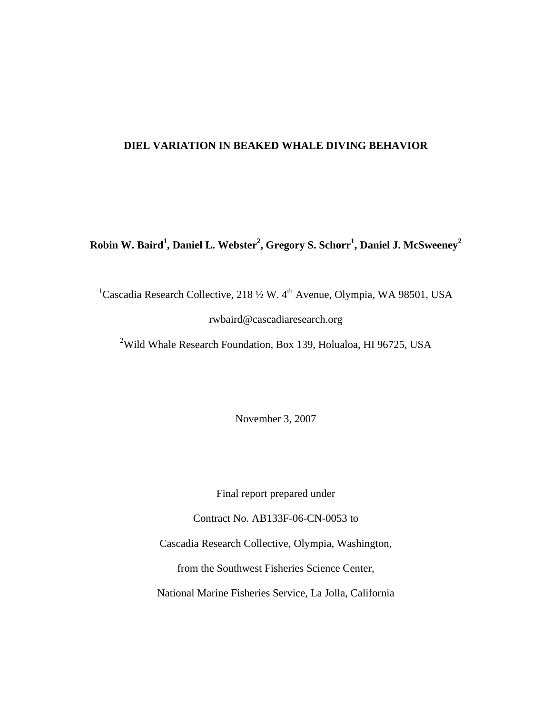## **DIEL VARIATION IN BEAKED WHALE DIVING BEHAVIOR**

# ${\bf R}$ obin W. Baird<sup>1</sup>, Daniel L. Webster<sup>2</sup>, Gregory S. Schorr<sup>1</sup>, Daniel J. McSweeney<sup>2</sup>

<sup>1</sup>Cascadia Research Collective, 218 1/2 W. 4<sup>th</sup> Avenue, Olympia, WA 98501, USA rwbaird@cascadiaresearch.org

<sup>2</sup>Wild Whale Research Foundation, Box 139, Holualoa, HI 96725, USA

November 3, 2007

Final report prepared under

Contract No. AB133F-06-CN-0053 to

Cascadia Research Collective, Olympia, Washington,

from the Southwest Fisheries Science Center,

National Marine Fisheries Service, La Jolla, California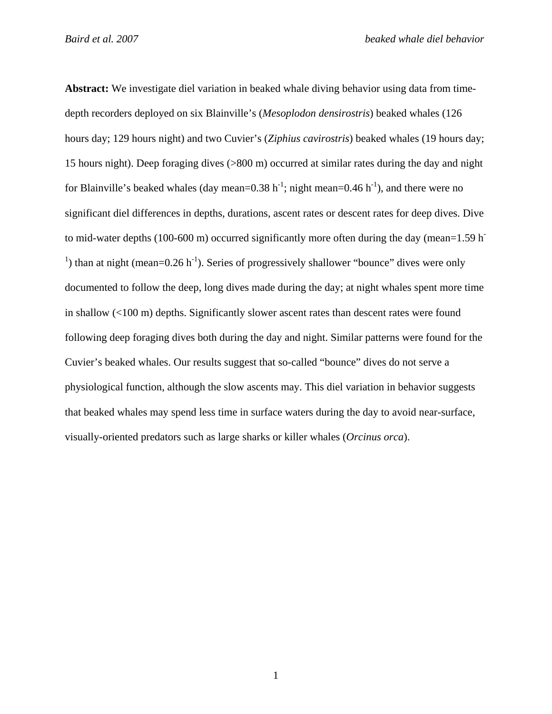**Abstract:** We investigate diel variation in beaked whale diving behavior using data from timedepth recorders deployed on six Blainville's (*Mesoplodon densirostris*) beaked whales (126 hours day; 129 hours night) and two Cuvier's (*Ziphius cavirostris*) beaked whales (19 hours day; 15 hours night). Deep foraging dives (>800 m) occurred at similar rates during the day and night for Blainville's beaked whales (day mean=0.38 h<sup>-1</sup>; night mean=0.46 h<sup>-1</sup>), and there were no significant diel differences in depths, durations, ascent rates or descent rates for deep dives. Dive to mid-water depths (100-600 m) occurred significantly more often during the day (mean=1.59 h<sup>-</sup> <sup>1</sup>) than at night (mean= $0.26$  h<sup>-1</sup>). Series of progressively shallower "bounce" dives were only documented to follow the deep, long dives made during the day; at night whales spent more time in shallow (<100 m) depths. Significantly slower ascent rates than descent rates were found following deep foraging dives both during the day and night. Similar patterns were found for the Cuvier's beaked whales. Our results suggest that so-called "bounce" dives do not serve a physiological function, although the slow ascents may. This diel variation in behavior suggests that beaked whales may spend less time in surface waters during the day to avoid near-surface, visually-oriented predators such as large sharks or killer whales (*Orcinus orca*).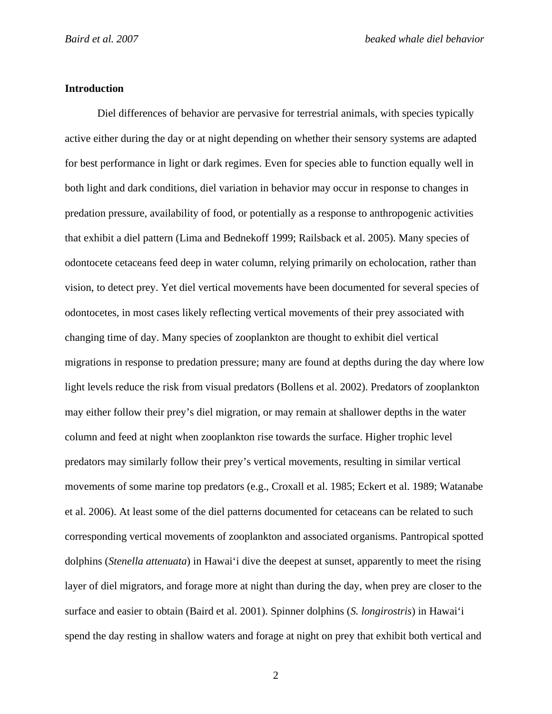## **Introduction**

Diel differences of behavior are pervasive for terrestrial animals, with species typically active either during the day or at night depending on whether their sensory systems are adapted for best performance in light or dark regimes. Even for species able to function equally well in both light and dark conditions, diel variation in behavior may occur in response to changes in predation pressure, availability of food, or potentially as a response to anthropogenic activities that exhibit a diel pattern (Lima and Bednekoff 1999; Railsback et al. 2005). Many species of odontocete cetaceans feed deep in water column, relying primarily on echolocation, rather than vision, to detect prey. Yet diel vertical movements have been documented for several species of odontocetes, in most cases likely reflecting vertical movements of their prey associated with changing time of day. Many species of zooplankton are thought to exhibit diel vertical migrations in response to predation pressure; many are found at depths during the day where low light levels reduce the risk from visual predators (Bollens et al. 2002). Predators of zooplankton may either follow their prey's diel migration, or may remain at shallower depths in the water column and feed at night when zooplankton rise towards the surface. Higher trophic level predators may similarly follow their prey's vertical movements, resulting in similar vertical movements of some marine top predators (e.g., Croxall et al. 1985; Eckert et al. 1989; Watanabe et al. 2006). At least some of the diel patterns documented for cetaceans can be related to such corresponding vertical movements of zooplankton and associated organisms. Pantropical spotted dolphins (*Stenella attenuata*) in Hawai'i dive the deepest at sunset, apparently to meet the rising layer of diel migrators, and forage more at night than during the day, when prey are closer to the surface and easier to obtain (Baird et al. 2001). Spinner dolphins (*S. longirostris*) in Hawai'i spend the day resting in shallow waters and forage at night on prey that exhibit both vertical and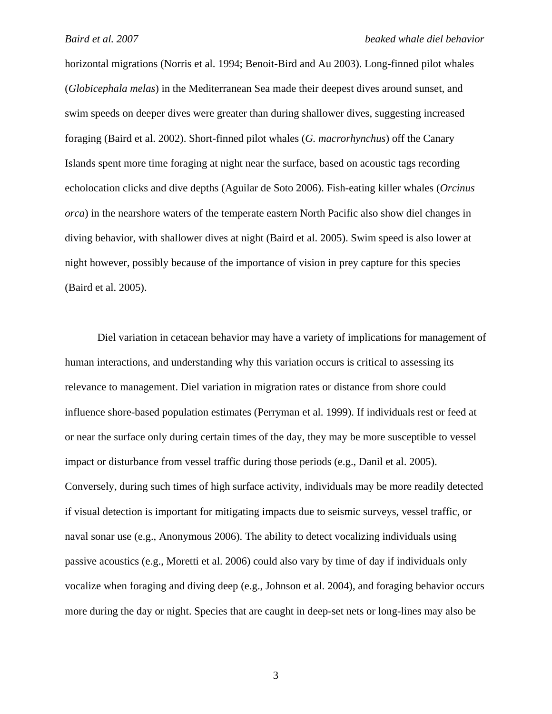horizontal migrations (Norris et al. 1994; Benoit-Bird and Au 2003). Long-finned pilot whales (*Globicephala melas*) in the Mediterranean Sea made their deepest dives around sunset, and swim speeds on deeper dives were greater than during shallower dives, suggesting increased foraging (Baird et al. 2002). Short-finned pilot whales (*G. macrorhynchus*) off the Canary Islands spent more time foraging at night near the surface, based on acoustic tags recording echolocation clicks and dive depths (Aguilar de Soto 2006). Fish-eating killer whales (*Orcinus orca*) in the nearshore waters of the temperate eastern North Pacific also show diel changes in diving behavior, with shallower dives at night (Baird et al. 2005). Swim speed is also lower at night however, possibly because of the importance of vision in prey capture for this species (Baird et al. 2005).

Diel variation in cetacean behavior may have a variety of implications for management of human interactions, and understanding why this variation occurs is critical to assessing its relevance to management. Diel variation in migration rates or distance from shore could influence shore-based population estimates (Perryman et al. 1999). If individuals rest or feed at or near the surface only during certain times of the day, they may be more susceptible to vessel impact or disturbance from vessel traffic during those periods (e.g., Danil et al. 2005). Conversely, during such times of high surface activity, individuals may be more readily detected if visual detection is important for mitigating impacts due to seismic surveys, vessel traffic, or naval sonar use (e.g., Anonymous 2006). The ability to detect vocalizing individuals using passive acoustics (e.g., Moretti et al. 2006) could also vary by time of day if individuals only vocalize when foraging and diving deep (e.g., Johnson et al. 2004), and foraging behavior occurs more during the day or night. Species that are caught in deep-set nets or long-lines may also be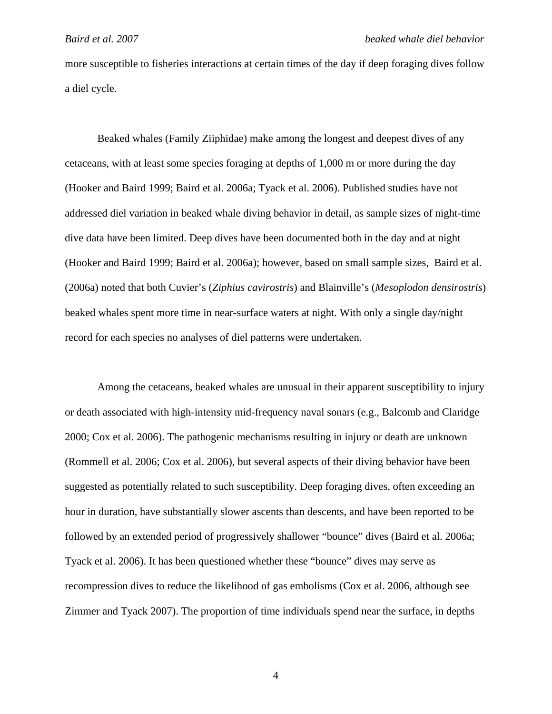more susceptible to fisheries interactions at certain times of the day if deep foraging dives follow a diel cycle.

Beaked whales (Family Ziiphidae) make among the longest and deepest dives of any cetaceans, with at least some species foraging at depths of 1,000 m or more during the day (Hooker and Baird 1999; Baird et al. 2006a; Tyack et al. 2006). Published studies have not addressed diel variation in beaked whale diving behavior in detail, as sample sizes of night-time dive data have been limited. Deep dives have been documented both in the day and at night (Hooker and Baird 1999; Baird et al. 2006a); however, based on small sample sizes, Baird et al. (2006a) noted that both Cuvier's (*Ziphius cavirostris*) and Blainville's (*Mesoplodon densirostris*) beaked whales spent more time in near-surface waters at night. With only a single day/night record for each species no analyses of diel patterns were undertaken.

Among the cetaceans, beaked whales are unusual in their apparent susceptibility to injury or death associated with high-intensity mid-frequency naval sonars (e.g., Balcomb and Claridge 2000; Cox et al. 2006). The pathogenic mechanisms resulting in injury or death are unknown (Rommell et al. 2006; Cox et al. 2006), but several aspects of their diving behavior have been suggested as potentially related to such susceptibility. Deep foraging dives, often exceeding an hour in duration, have substantially slower ascents than descents, and have been reported to be followed by an extended period of progressively shallower "bounce" dives (Baird et al. 2006a; Tyack et al. 2006). It has been questioned whether these "bounce" dives may serve as recompression dives to reduce the likelihood of gas embolisms (Cox et al. 2006, although see Zimmer and Tyack 2007). The proportion of time individuals spend near the surface, in depths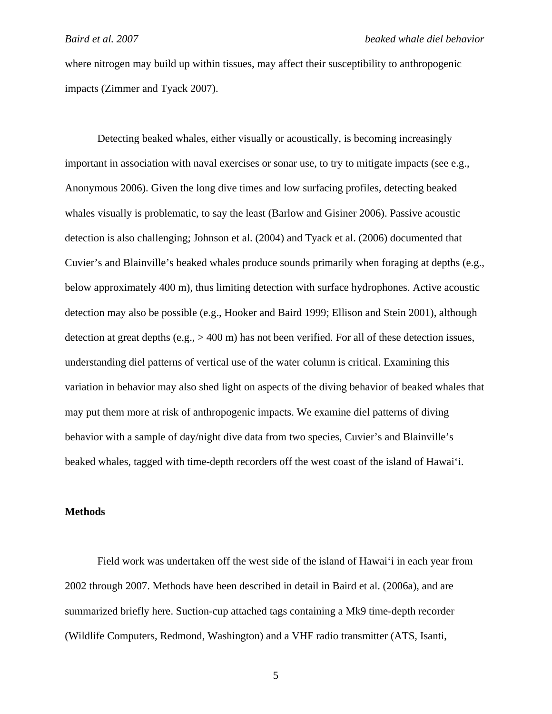where nitrogen may build up within tissues, may affect their susceptibility to anthropogenic impacts (Zimmer and Tyack 2007).

Detecting beaked whales, either visually or acoustically, is becoming increasingly important in association with naval exercises or sonar use, to try to mitigate impacts (see e.g., Anonymous 2006). Given the long dive times and low surfacing profiles, detecting beaked whales visually is problematic, to say the least (Barlow and Gisiner 2006). Passive acoustic detection is also challenging; Johnson et al. (2004) and Tyack et al. (2006) documented that Cuvier's and Blainville's beaked whales produce sounds primarily when foraging at depths (e.g., below approximately 400 m), thus limiting detection with surface hydrophones. Active acoustic detection may also be possible (e.g., Hooker and Baird 1999; Ellison and Stein 2001), although detection at great depths (e.g., > 400 m) has not been verified. For all of these detection issues, understanding diel patterns of vertical use of the water column is critical. Examining this variation in behavior may also shed light on aspects of the diving behavior of beaked whales that may put them more at risk of anthropogenic impacts. We examine diel patterns of diving behavior with a sample of day/night dive data from two species, Cuvier's and Blainville's beaked whales, tagged with time-depth recorders off the west coast of the island of Hawai'i.

#### **Methods**

Field work was undertaken off the west side of the island of Hawai'i in each year from 2002 through 2007. Methods have been described in detail in Baird et al. (2006a), and are summarized briefly here. Suction-cup attached tags containing a Mk9 time-depth recorder (Wildlife Computers, Redmond, Washington) and a VHF radio transmitter (ATS, Isanti,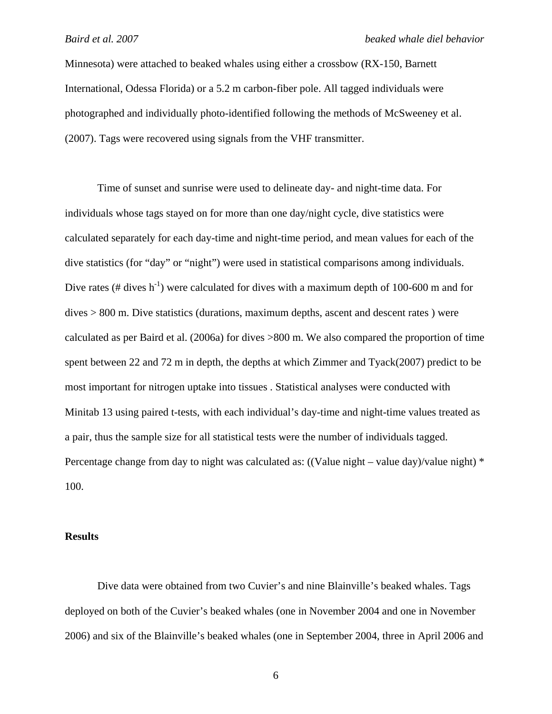Minnesota) were attached to beaked whales using either a crossbow (RX-150, Barnett International, Odessa Florida) or a 5.2 m carbon-fiber pole. All tagged individuals were photographed and individually photo-identified following the methods of McSweeney et al. (2007). Tags were recovered using signals from the VHF transmitter.

Time of sunset and sunrise were used to delineate day- and night-time data. For individuals whose tags stayed on for more than one day/night cycle, dive statistics were calculated separately for each day-time and night-time period, and mean values for each of the dive statistics (for "day" or "night") were used in statistical comparisons among individuals. Dive rates (# dives  $h^{-1}$ ) were calculated for dives with a maximum depth of 100-600 m and for dives > 800 m. Dive statistics (durations, maximum depths, ascent and descent rates ) were calculated as per Baird et al. (2006a) for dives >800 m. We also compared the proportion of time spent between 22 and 72 m in depth, the depths at which Zimmer and Tyack(2007) predict to be most important for nitrogen uptake into tissues . Statistical analyses were conducted with Minitab 13 using paired t-tests, with each individual's day-time and night-time values treated as a pair, thus the sample size for all statistical tests were the number of individuals tagged. Percentage change from day to night was calculated as: ((Value night – value day)/value night) \* 100.

# **Results**

Dive data were obtained from two Cuvier's and nine Blainville's beaked whales. Tags deployed on both of the Cuvier's beaked whales (one in November 2004 and one in November 2006) and six of the Blainville's beaked whales (one in September 2004, three in April 2006 and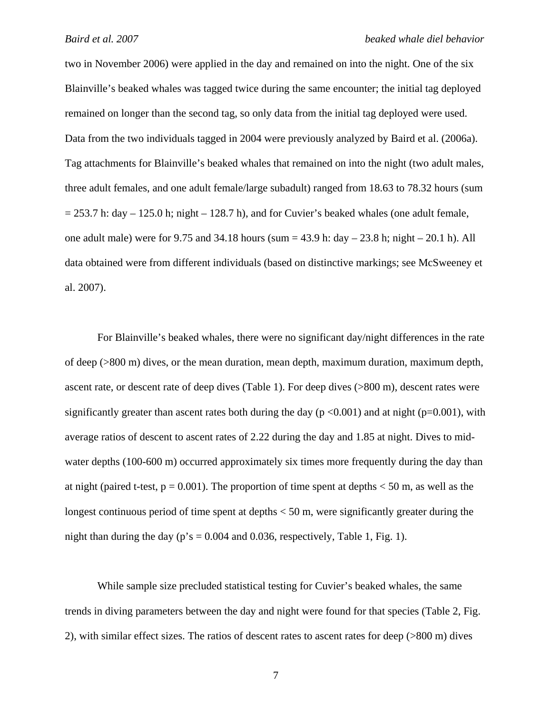two in November 2006) were applied in the day and remained on into the night. One of the six Blainville's beaked whales was tagged twice during the same encounter; the initial tag deployed remained on longer than the second tag, so only data from the initial tag deployed were used. Data from the two individuals tagged in 2004 were previously analyzed by Baird et al. (2006a). Tag attachments for Blainville's beaked whales that remained on into the night (two adult males, three adult females, and one adult female/large subadult) ranged from 18.63 to 78.32 hours (sum  $= 253.7$  h: day  $- 125.0$  h; night  $- 128.7$  h), and for Cuvier's beaked whales (one adult female, one adult male) were for 9.75 and 34.18 hours (sum =  $43.9$  h: day  $- 23.8$  h; night  $- 20.1$  h). All data obtained were from different individuals (based on distinctive markings; see McSweeney et al. 2007).

For Blainville's beaked whales, there were no significant day/night differences in the rate of deep (>800 m) dives, or the mean duration, mean depth, maximum duration, maximum depth, ascent rate, or descent rate of deep dives (Table 1). For deep dives (>800 m), descent rates were significantly greater than ascent rates both during the day ( $p < 0.001$ ) and at night ( $p = 0.001$ ), with average ratios of descent to ascent rates of 2.22 during the day and 1.85 at night. Dives to midwater depths (100-600 m) occurred approximately six times more frequently during the day than at night (paired t-test,  $p = 0.001$ ). The proportion of time spent at depths  $< 50$  m, as well as the longest continuous period of time spent at depths  $<$  50 m, were significantly greater during the night than during the day ( $p$ 's = 0.004 and 0.036, respectively, Table 1, Fig. 1).

While sample size precluded statistical testing for Cuvier's beaked whales, the same trends in diving parameters between the day and night were found for that species (Table 2, Fig. 2), with similar effect sizes. The ratios of descent rates to ascent rates for deep (>800 m) dives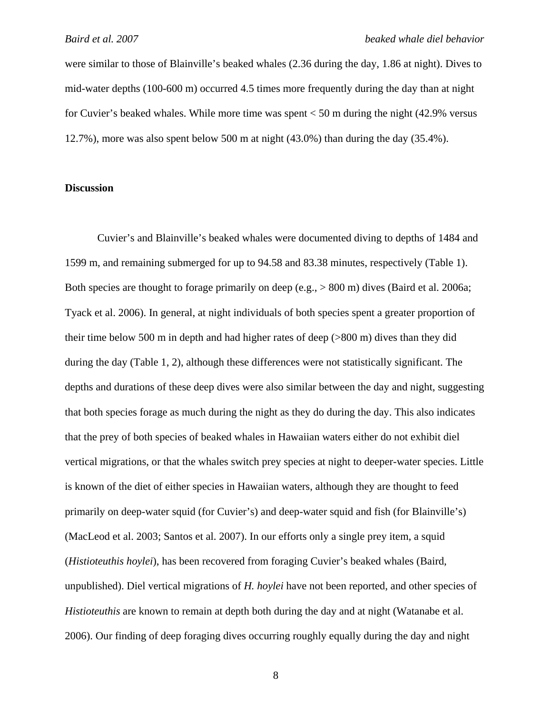were similar to those of Blainville's beaked whales (2.36 during the day, 1.86 at night). Dives to mid-water depths (100-600 m) occurred 4.5 times more frequently during the day than at night for Cuvier's beaked whales. While more time was spent < 50 m during the night (42.9% versus 12.7%), more was also spent below 500 m at night (43.0%) than during the day (35.4%).

# **Discussion**

Cuvier's and Blainville's beaked whales were documented diving to depths of 1484 and 1599 m, and remaining submerged for up to 94.58 and 83.38 minutes, respectively (Table 1). Both species are thought to forage primarily on deep (e.g., > 800 m) dives (Baird et al. 2006a; Tyack et al. 2006). In general, at night individuals of both species spent a greater proportion of their time below 500 m in depth and had higher rates of deep (>800 m) dives than they did during the day (Table 1, 2), although these differences were not statistically significant. The depths and durations of these deep dives were also similar between the day and night, suggesting that both species forage as much during the night as they do during the day. This also indicates that the prey of both species of beaked whales in Hawaiian waters either do not exhibit diel vertical migrations, or that the whales switch prey species at night to deeper-water species. Little is known of the diet of either species in Hawaiian waters, although they are thought to feed primarily on deep-water squid (for Cuvier's) and deep-water squid and fish (for Blainville's) (MacLeod et al. 2003; Santos et al. 2007). In our efforts only a single prey item, a squid (*Histioteuthis hoylei*), has been recovered from foraging Cuvier's beaked whales (Baird, unpublished). Diel vertical migrations of *H. hoylei* have not been reported, and other species of *Histioteuthis* are known to remain at depth both during the day and at night (Watanabe et al. 2006). Our finding of deep foraging dives occurring roughly equally during the day and night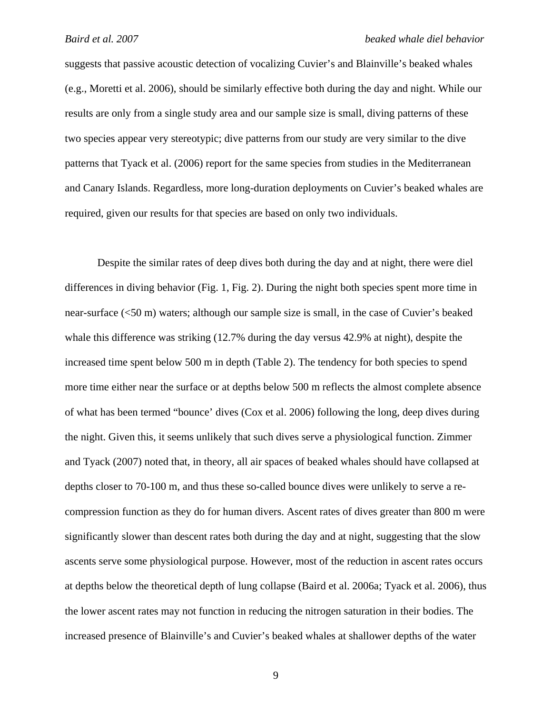#### *Baird et al. 2007 beaked whale diel behavior*

suggests that passive acoustic detection of vocalizing Cuvier's and Blainville's beaked whales (e.g., Moretti et al. 2006), should be similarly effective both during the day and night. While our results are only from a single study area and our sample size is small, diving patterns of these two species appear very stereotypic; dive patterns from our study are very similar to the dive patterns that Tyack et al. (2006) report for the same species from studies in the Mediterranean and Canary Islands. Regardless, more long-duration deployments on Cuvier's beaked whales are required, given our results for that species are based on only two individuals.

Despite the similar rates of deep dives both during the day and at night, there were diel differences in diving behavior (Fig. 1, Fig. 2). During the night both species spent more time in near-surface (<50 m) waters; although our sample size is small, in the case of Cuvier's beaked whale this difference was striking (12.7% during the day versus 42.9% at night), despite the increased time spent below 500 m in depth (Table 2). The tendency for both species to spend more time either near the surface or at depths below 500 m reflects the almost complete absence of what has been termed "bounce' dives (Cox et al. 2006) following the long, deep dives during the night. Given this, it seems unlikely that such dives serve a physiological function. Zimmer and Tyack (2007) noted that, in theory, all air spaces of beaked whales should have collapsed at depths closer to 70-100 m, and thus these so-called bounce dives were unlikely to serve a recompression function as they do for human divers. Ascent rates of dives greater than 800 m were significantly slower than descent rates both during the day and at night, suggesting that the slow ascents serve some physiological purpose. However, most of the reduction in ascent rates occurs at depths below the theoretical depth of lung collapse (Baird et al. 2006a; Tyack et al. 2006), thus the lower ascent rates may not function in reducing the nitrogen saturation in their bodies. The increased presence of Blainville's and Cuvier's beaked whales at shallower depths of the water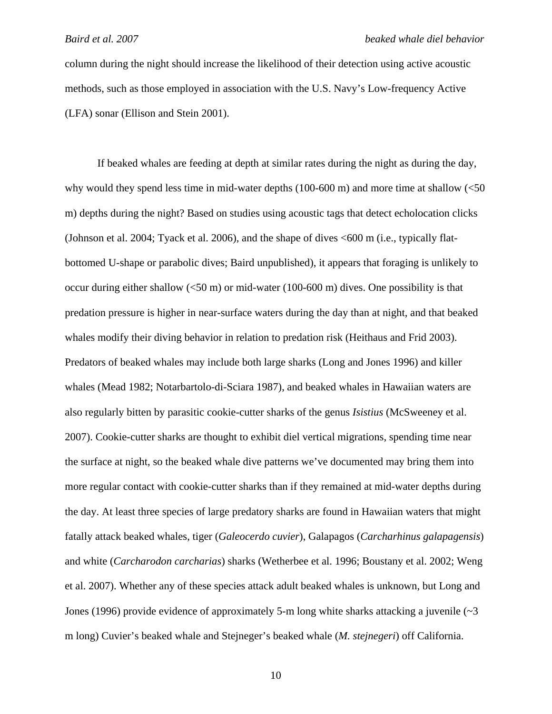column during the night should increase the likelihood of their detection using active acoustic methods, such as those employed in association with the U.S. Navy's Low-frequency Active (LFA) sonar (Ellison and Stein 2001).

If beaked whales are feeding at depth at similar rates during the night as during the day, why would they spend less time in mid-water depths (100-600 m) and more time at shallow (<50 m) depths during the night? Based on studies using acoustic tags that detect echolocation clicks (Johnson et al. 2004; Tyack et al. 2006), and the shape of dives <600 m (i.e., typically flatbottomed U-shape or parabolic dives; Baird unpublished), it appears that foraging is unlikely to occur during either shallow  $\left(50 \text{ m}\right)$  or mid-water (100-600 m) dives. One possibility is that predation pressure is higher in near-surface waters during the day than at night, and that beaked whales modify their diving behavior in relation to predation risk (Heithaus and Frid 2003). Predators of beaked whales may include both large sharks (Long and Jones 1996) and killer whales (Mead 1982; Notarbartolo-di-Sciara 1987), and beaked whales in Hawaiian waters are also regularly bitten by parasitic cookie-cutter sharks of the genus *Isistius* (McSweeney et al. 2007). Cookie-cutter sharks are thought to exhibit diel vertical migrations, spending time near the surface at night, so the beaked whale dive patterns we've documented may bring them into more regular contact with cookie-cutter sharks than if they remained at mid-water depths during the day. At least three species of large predatory sharks are found in Hawaiian waters that might fatally attack beaked whales, tiger (*Galeocerdo cuvier*), Galapagos (*Carcharhinus galapagensis*) and white (*Carcharodon carcharias*) sharks (Wetherbee et al. 1996; Boustany et al. 2002; Weng et al. 2007). Whether any of these species attack adult beaked whales is unknown, but Long and Jones (1996) provide evidence of approximately 5-m long white sharks attacking a juvenile  $\sim$ 3 m long) Cuvier's beaked whale and Stejneger's beaked whale (*M. stejnegeri*) off California.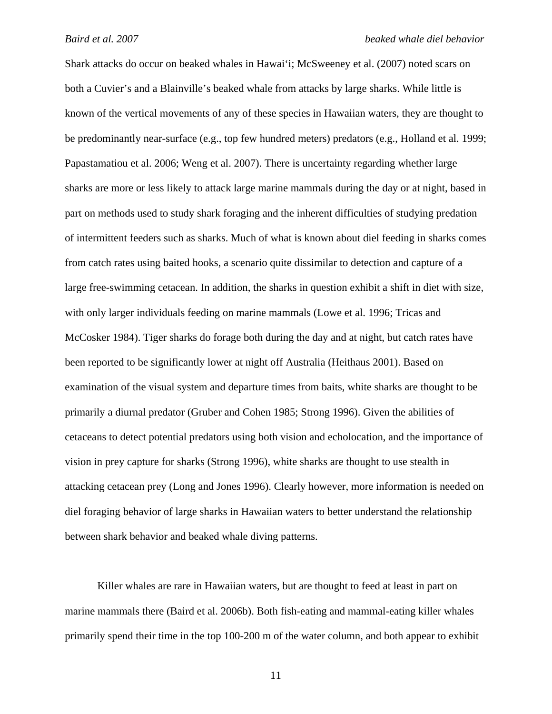Shark attacks do occur on beaked whales in Hawai'i; McSweeney et al. (2007) noted scars on both a Cuvier's and a Blainville's beaked whale from attacks by large sharks. While little is known of the vertical movements of any of these species in Hawaiian waters, they are thought to be predominantly near-surface (e.g., top few hundred meters) predators (e.g., Holland et al. 1999; Papastamatiou et al. 2006; Weng et al. 2007). There is uncertainty regarding whether large sharks are more or less likely to attack large marine mammals during the day or at night, based in part on methods used to study shark foraging and the inherent difficulties of studying predation of intermittent feeders such as sharks. Much of what is known about diel feeding in sharks comes from catch rates using baited hooks, a scenario quite dissimilar to detection and capture of a large free-swimming cetacean. In addition, the sharks in question exhibit a shift in diet with size, with only larger individuals feeding on marine mammals (Lowe et al. 1996; Tricas and McCosker 1984). Tiger sharks do forage both during the day and at night, but catch rates have been reported to be significantly lower at night off Australia (Heithaus 2001). Based on examination of the visual system and departure times from baits, white sharks are thought to be primarily a diurnal predator (Gruber and Cohen 1985; Strong 1996). Given the abilities of cetaceans to detect potential predators using both vision and echolocation, and the importance of vision in prey capture for sharks (Strong 1996), white sharks are thought to use stealth in attacking cetacean prey (Long and Jones 1996). Clearly however, more information is needed on diel foraging behavior of large sharks in Hawaiian waters to better understand the relationship between shark behavior and beaked whale diving patterns.

Killer whales are rare in Hawaiian waters, but are thought to feed at least in part on marine mammals there (Baird et al. 2006b). Both fish-eating and mammal-eating killer whales primarily spend their time in the top 100-200 m of the water column, and both appear to exhibit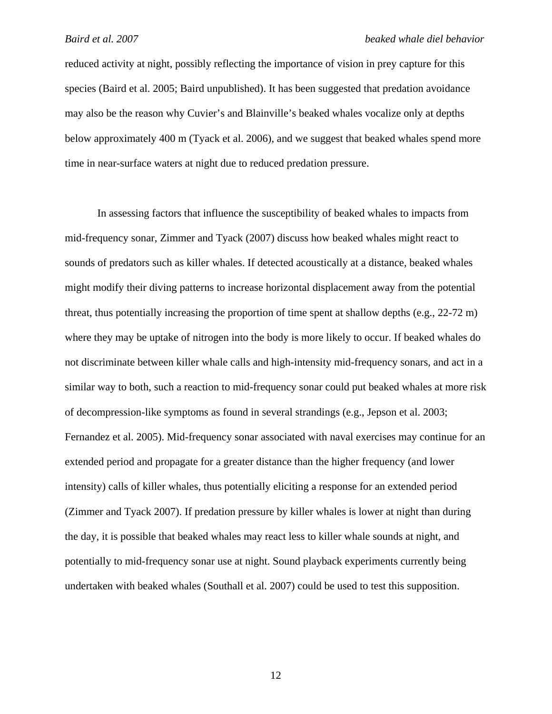#### *Baird et al. 2007 beaked whale diel behavior*

reduced activity at night, possibly reflecting the importance of vision in prey capture for this species (Baird et al. 2005; Baird unpublished). It has been suggested that predation avoidance may also be the reason why Cuvier's and Blainville's beaked whales vocalize only at depths below approximately 400 m (Tyack et al. 2006), and we suggest that beaked whales spend more time in near-surface waters at night due to reduced predation pressure.

In assessing factors that influence the susceptibility of beaked whales to impacts from mid-frequency sonar, Zimmer and Tyack (2007) discuss how beaked whales might react to sounds of predators such as killer whales. If detected acoustically at a distance, beaked whales might modify their diving patterns to increase horizontal displacement away from the potential threat, thus potentially increasing the proportion of time spent at shallow depths (e.g., 22-72 m) where they may be uptake of nitrogen into the body is more likely to occur. If beaked whales do not discriminate between killer whale calls and high-intensity mid-frequency sonars, and act in a similar way to both, such a reaction to mid-frequency sonar could put beaked whales at more risk of decompression-like symptoms as found in several strandings (e.g., Jepson et al. 2003; Fernandez et al. 2005). Mid-frequency sonar associated with naval exercises may continue for an extended period and propagate for a greater distance than the higher frequency (and lower intensity) calls of killer whales, thus potentially eliciting a response for an extended period (Zimmer and Tyack 2007). If predation pressure by killer whales is lower at night than during the day, it is possible that beaked whales may react less to killer whale sounds at night, and potentially to mid-frequency sonar use at night. Sound playback experiments currently being undertaken with beaked whales (Southall et al. 2007) could be used to test this supposition.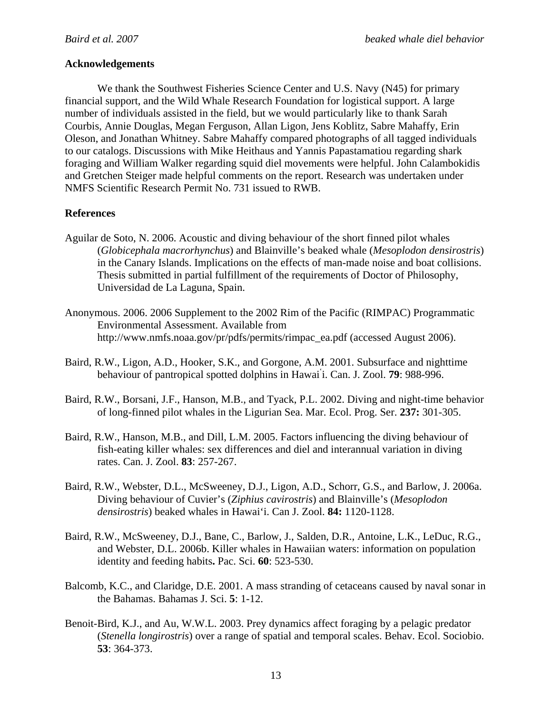## **Acknowledgements**

We thank the Southwest Fisheries Science Center and U.S. Navy (N45) for primary financial support, and the Wild Whale Research Foundation for logistical support. A large number of individuals assisted in the field, but we would particularly like to thank Sarah Courbis, Annie Douglas, Megan Ferguson, Allan Ligon, Jens Koblitz, Sabre Mahaffy, Erin Oleson, and Jonathan Whitney. Sabre Mahaffy compared photographs of all tagged individuals to our catalogs. Discussions with Mike Heithaus and Yannis Papastamatiou regarding shark foraging and William Walker regarding squid diel movements were helpful. John Calambokidis and Gretchen Steiger made helpful comments on the report. Research was undertaken under NMFS Scientific Research Permit No. 731 issued to RWB.

## **References**

- Aguilar de Soto, N. 2006. Acoustic and diving behaviour of the short finned pilot whales (*Globicephala macrorhynchus*) and Blainville's beaked whale (*Mesoplodon densirostris*) in the Canary Islands. Implications on the effects of man-made noise and boat collisions. Thesis submitted in partial fulfillment of the requirements of Doctor of Philosophy, Universidad de La Laguna, Spain.
- Anonymous. 2006. 2006 Supplement to the 2002 Rim of the Pacific (RIMPAC) Programmatic Environmental Assessment. Available from http://www.nmfs.noaa.gov/pr/pdfs/permits/rimpac\_ea.pdf (accessed August 2006).
- Baird, R.W., Ligon, A.D., Hooker, S.K., and Gorgone, A.M. 2001. Subsurface and nighttime behaviour of pantropical spotted dolphins in Hawai' i. Can. J. Zool. **79**: 988-996.
- Baird, R.W., Borsani, J.F., Hanson, M.B., and Tyack, P.L. 2002. Diving and night-time behavior of long-finned pilot whales in the Ligurian Sea. Mar. Ecol. Prog. Ser. **237:** 301-305.
- Baird, R.W., Hanson, M.B., and Dill, L.M. 2005. Factors influencing the diving behaviour of fish-eating killer whales: sex differences and diel and interannual variation in diving rates. Can. J. Zool. **83**: 257-267.
- Baird, R.W., Webster, D.L., McSweeney, D.J., Ligon, A.D., Schorr, G.S., and Barlow, J. 2006a. Diving behaviour of Cuvier's (*Ziphius cavirostris*) and Blainville's (*Mesoplodon densirostris*) beaked whales in Hawai'i. Can J. Zool. **84:** 1120-1128.
- Baird, R.W., McSweeney, D.J., Bane, C., Barlow, J., Salden, D.R., Antoine, L.K., LeDuc, R.G., and Webster, D.L. 2006b. Killer whales in Hawaiian waters: information on population identity and feeding habits**.** Pac. Sci. **60**: 523-530.
- Balcomb, K.C., and Claridge, D.E. 2001. A mass stranding of cetaceans caused by naval sonar in the Bahamas. Bahamas J. Sci. **5**: 1-12.
- Benoit-Bird, K.J., and Au, W.W.L. 2003. Prey dynamics affect foraging by a pelagic predator (*Stenella longirostris*) over a range of spatial and temporal scales. Behav. Ecol. Sociobio. **53**: 364-373.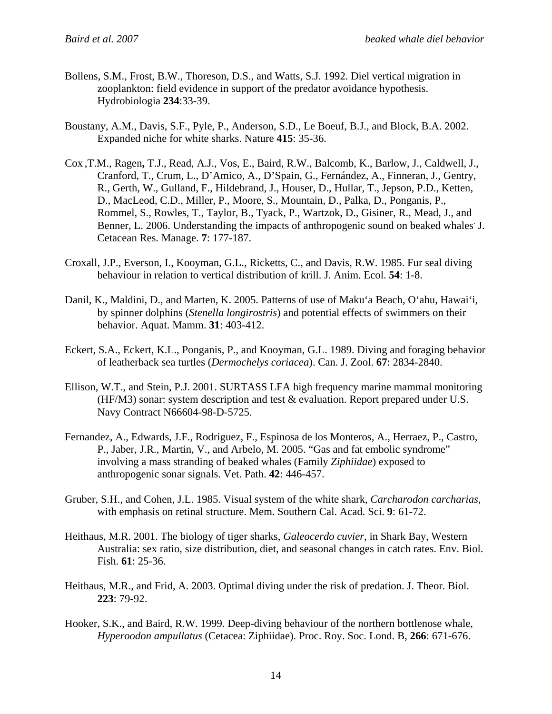- Bollens, S.M., Frost, B.W., Thoreson, D.S., and Watts, S.J. 1992. Diel vertical migration in zooplankton: field evidence in support of the predator avoidance hypothesis. Hydrobiologia **234**:33-39.
- Boustany, A.M., Davis, S.F., Pyle, P., Anderson, S.D., Le Boeuf, B.J., and Block, B.A. 2002. Expanded niche for white sharks. Nature **415**: 35-36.
- Cox ,T.M., Ragen**,** T.J., Read, A.J., Vos, E., Baird, R.W., Balcomb, K., Barlow, J., Caldwell, J., Cranford, T., Crum, L., D'Amico, A., D'Spain, G., Fernández, A., Finneran, J., Gentry, R., Gerth, W., Gulland, F., Hildebrand, J., Houser, D., Hullar, T., Jepson, P.D., Ketten, D., MacLeod, C.D., Miller, P., Moore, S., Mountain, D., Palka, D., Ponganis, P., Rommel, S., Rowles, T., Taylor, B., Tyack, P., Wartzok, D., Gisiner, R., Mead, J., and Benner, L. 2006. Understanding the impacts of anthropogenic sound on beaked whales J. Cetacean Res. Manage. **7**: 177-187.
- Croxall, J.P., Everson, I., Kooyman, G.L., Ricketts, C., and Davis, R.W. 1985. Fur seal diving behaviour in relation to vertical distribution of krill. J. Anim. Ecol. **54**: 1-8.
- Danil, K., Maldini, D., and Marten, K. 2005. Patterns of use of Maku'a Beach, O'ahu, Hawai'i, by spinner dolphins (*Stenella longirostris*) and potential effects of swimmers on their behavior. Aquat. Mamm. **31**: 403-412.
- Eckert, S.A., Eckert, K.L., Ponganis, P., and Kooyman, G.L. 1989. Diving and foraging behavior of leatherback sea turtles (*Dermochelys coriacea*). Can. J. Zool. **67**: 2834-2840.
- Ellison, W.T., and Stein, P.J. 2001. SURTASS LFA high frequency marine mammal monitoring (HF/M3) sonar: system description and test & evaluation. Report prepared under U.S. Navy Contract N66604-98-D-5725.
- Fernandez, A., Edwards, J.F., Rodriguez, F., Espinosa de los Monteros, A., Herraez, P., Castro, P., Jaber, J.R., Martin, V., and Arbelo, M. 2005. "Gas and fat embolic syndrome" involving a mass stranding of beaked whales (Family *Ziphiidae*) exposed to anthropogenic sonar signals. Vet. Path. **42**: 446-457.
- Gruber, S.H., and Cohen, J.L. 1985. Visual system of the white shark, *Carcharodon carcharias,*  with emphasis on retinal structure. Mem. Southern Cal. Acad. Sci. **9**: 61-72.
- Heithaus, M.R. 2001. The biology of tiger sharks, *Galeocerdo cuvier*, in Shark Bay, Western Australia: sex ratio, size distribution, diet, and seasonal changes in catch rates. Env. Biol. Fish. **61**: 25-36.
- Heithaus, M.R., and Frid, A. 2003. Optimal diving under the risk of predation. J. Theor. Biol. **223**: 79-92.
- Hooker, S.K., and Baird, R.W. 1999. Deep-diving behaviour of the northern bottlenose whale, *Hyperoodon ampullatus* (Cetacea: Ziphiidae). Proc. Roy. Soc. Lond. B, **266**: 671-676.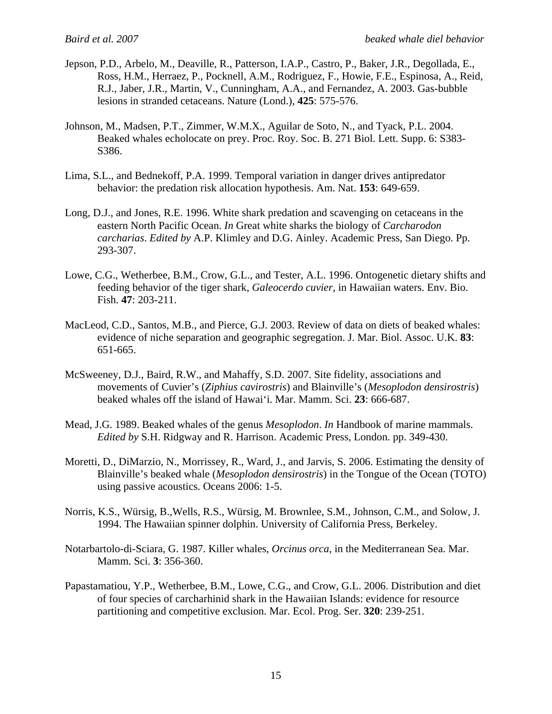- Jepson, P.D., Arbelo, M., Deaville, R., Patterson, I.A.P., Castro, P., Baker, J.R., Degollada, E., Ross, H.M., Herraez, P., Pocknell, A.M., Rodriguez, F., Howie, F.E., Espinosa, A., Reid, R.J., Jaber, J.R., Martin, V., Cunningham, A.A., and Fernandez, A. 2003. Gas-bubble lesions in stranded cetaceans. Nature (Lond.), **425**: 575-576.
- Johnson, M., Madsen, P.T., Zimmer, W.M.X., Aguilar de Soto, N., and Tyack, P.L. 2004. Beaked whales echolocate on prey. Proc. Roy. Soc. B. 271 Biol. Lett. Supp. 6: S383- S386.
- Lima, S.L., and Bednekoff, P.A. 1999. Temporal variation in danger drives antipredator behavior: the predation risk allocation hypothesis. Am. Nat. **153**: 649-659.
- Long, D.J., and Jones, R.E. 1996. White shark predation and scavenging on cetaceans in the eastern North Pacific Ocean. *In* Great white sharks the biology of *Carcharodon carcharias*. *Edited by* A.P. Klimley and D.G. Ainley. Academic Press, San Diego. Pp. 293-307.
- Lowe, C.G., Wetherbee, B.M., Crow, G.L., and Tester, A.L. 1996. Ontogenetic dietary shifts and feeding behavior of the tiger shark, *Galeocerdo cuvier*, in Hawaiian waters. Env. Bio. Fish. **47**: 203-211.
- MacLeod, C.D., Santos, M.B., and Pierce, G.J. 2003. Review of data on diets of beaked whales: evidence of niche separation and geographic segregation. J. Mar. Biol. Assoc. U.K. **83**: 651-665.
- McSweeney, D.J., Baird, R.W., and Mahaffy, S.D. 2007. Site fidelity, associations and movements of Cuvier's (*Ziphius cavirostris*) and Blainville's (*Mesoplodon densirostris*) beaked whales off the island of Hawai'i. Mar. Mamm. Sci. **23**: 666-687.
- Mead, J.G. 1989. Beaked whales of the genus *Mesoplodon*. *In* Handbook of marine mammals. *Edited by* S.H. Ridgway and R. Harrison. Academic Press, London. pp. 349-430.
- Moretti, D., DiMarzio, N., Morrissey, R., Ward, J., and Jarvis, S. 2006. Estimating the density of Blainville's beaked whale (*Mesoplodon densirostris*) in the Tongue of the Ocean (TOTO) using passive acoustics. Oceans 2006: 1-5.
- Norris, K.S., Würsig, B.,Wells, R.S., Würsig, M. Brownlee, S.M., Johnson, C.M., and Solow, J. 1994. The Hawaiian spinner dolphin. University of California Press, Berkeley.
- Notarbartolo-di-Sciara, G. 1987. Killer whales, *Orcinus orca*, in the Mediterranean Sea. Mar. Mamm. Sci. **3**: 356-360.
- Papastamatiou, Y.P., Wetherbee, B.M., Lowe, C.G., and Crow, G.L. 2006. Distribution and diet of four species of carcharhinid shark in the Hawaiian Islands: evidence for resource partitioning and competitive exclusion. Mar. Ecol. Prog. Ser. **320**: 239-251.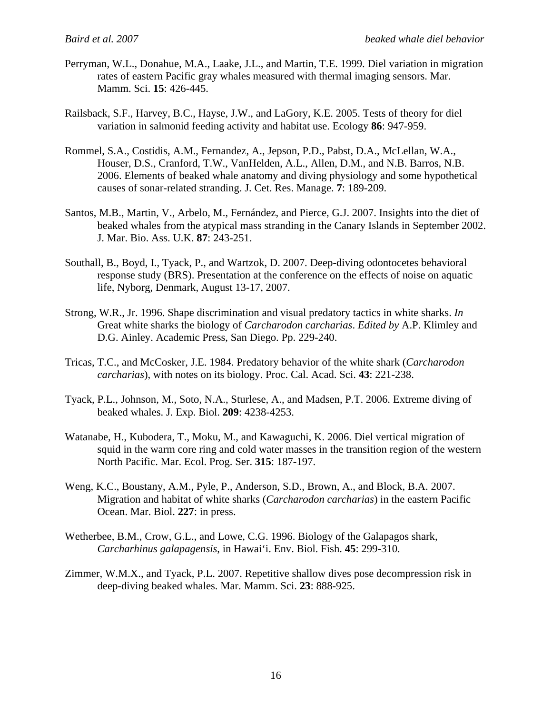- Perryman, W.L., Donahue, M.A., Laake, J.L., and Martin, T.E. 1999. Diel variation in migration rates of eastern Pacific gray whales measured with thermal imaging sensors. Mar. Mamm. Sci. **15**: 426-445.
- Railsback, S.F., Harvey, B.C., Hayse, J.W., and LaGory, K.E. 2005. Tests of theory for diel variation in salmonid feeding activity and habitat use. Ecology **86**: 947-959.
- Rommel, S.A., Costidis, A.M., Fernandez, A., Jepson, P.D., Pabst, D.A., McLellan, W.A., Houser, D.S., Cranford, T.W., VanHelden, A.L., Allen, D.M., and N.B. Barros, N.B. 2006. Elements of beaked whale anatomy and diving physiology and some hypothetical causes of sonar-related stranding. J. Cet. Res. Manage. **7**: 189-209.
- Santos, M.B., Martin, V., Arbelo, M., Fernández, and Pierce, G.J. 2007. Insights into the diet of beaked whales from the atypical mass stranding in the Canary Islands in September 2002. J. Mar. Bio. Ass. U.K. **87**: 243-251.
- Southall, B., Boyd, I., Tyack, P., and Wartzok, D. 2007. Deep-diving odontocetes behavioral response study (BRS). Presentation at the conference on the effects of noise on aquatic life, Nyborg, Denmark, August 13-17, 2007.
- Strong, W.R., Jr. 1996. Shape discrimination and visual predatory tactics in white sharks. *In*  Great white sharks the biology of *Carcharodon carcharias*. *Edited by* A.P. Klimley and D.G. Ainley. Academic Press, San Diego. Pp. 229-240.
- Tricas, T.C., and McCosker, J.E. 1984. Predatory behavior of the white shark (*Carcharodon carcharias*), with notes on its biology. Proc. Cal. Acad. Sci. **43**: 221-238.
- Tyack, P.L., Johnson, M., Soto, N.A., Sturlese, A., and Madsen, P.T. 2006. Extreme diving of beaked whales. J. Exp. Biol. **209**: 4238-4253.
- Watanabe, H., Kubodera, T., Moku, M., and Kawaguchi, K. 2006. Diel vertical migration of squid in the warm core ring and cold water masses in the transition region of the western North Pacific. Mar. Ecol. Prog. Ser. **315**: 187-197.
- Weng, K.C., Boustany, A.M., Pyle, P., Anderson, S.D., Brown, A., and Block, B.A. 2007. Migration and habitat of white sharks (*Carcharodon carcharias*) in the eastern Pacific Ocean. Mar. Biol. **227**: in press.
- Wetherbee, B.M., Crow, G.L., and Lowe, C.G. 1996. Biology of the Galapagos shark, *Carcharhinus galapagensis*, in Hawai'i. Env. Biol. Fish. **45**: 299-310.
- Zimmer, W.M.X., and Tyack, P.L. 2007. Repetitive shallow dives pose decompression risk in deep-diving beaked whales. Mar. Mamm. Sci. **23**: 888-925.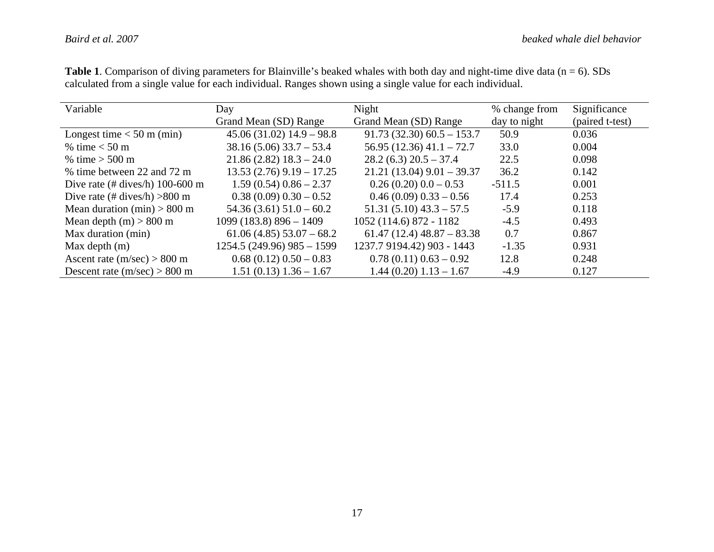| Variable                                        | Day                          | Night                         | % change from | Significance    |
|-------------------------------------------------|------------------------------|-------------------------------|---------------|-----------------|
|                                                 | Grand Mean (SD) Range        | Grand Mean (SD) Range         | day to night  | (paired t-test) |
| Longest time $<$ 50 m (min)                     | $45.06(31.02)$ $14.9 - 98.8$ | $91.73(32.30)60.5 - 153.7$    | 50.9          | 0.036           |
| % time $<$ 50 m                                 | $38.16(5.06)33.7 - 53.4$     | $56.95(12.36)$ 41.1 - 72.7    | 33.0          | 0.004           |
| % time $> 500 \text{ m}$                        | $21.86(2.82) 18.3 - 24.0$    | $28.2(6.3) 20.5 - 37.4$       | 22.5          | 0.098           |
| % time between 22 and 72 m                      | $13.53(2.76)$ 9.19 - 17.25   | $21.21(13.04)$ $9.01 - 39.37$ | 36.2          | 0.142           |
| Dive rate $(\# \text{dives/h})$ 100-600 m       | $1.59(0.54)0.86 - 2.37$      | $0.26(0.20)0.0 - 0.53$        | $-511.5$      | 0.001           |
| Dive rate $(\# \text{dives/h}) > 800 \text{ m}$ | $0.38(0.09) 0.30 - 0.52$     | $0.46(0.09)$ $0.33-0.56$      | 17.4          | 0.253           |
| Mean duration (min) $> 800$ m                   | $54.36(3.61)$ $51.0 - 60.2$  | $51.31(5.10)$ $43.3 - 57.5$   | $-5.9$        | 0.118           |
| Mean depth $(m) > 800$ m                        | $1099(183.8)$ 896 - 1409     | 1052 (114.6) 872 - 1182       | $-4.5$        | 0.493           |
| Max duration (min)                              | $61.06(4.85)$ 53.07 – 68.2   | $61.47(12.4)$ $48.87 - 83.38$ | 0.7           | 0.867           |
| Max depth $(m)$                                 | 1254.5 (249.96) 985 - 1599   | 1237.7 9194.42) 903 - 1443    | $-1.35$       | 0.931           |
| Ascent rate $(m/sec) > 800$ m                   | $0.68(0.12)0.50-0.83$        | $0.78(0.11)0.63-0.92$         | 12.8          | 0.248           |
| Descent rate $(m/sec) > 800$ m                  | $1.51(0.13) 1.36 - 1.67$     | $1.44(0.20) 1.13 - 1.67$      | $-4.9$        | 0.127           |

Table 1. Comparison of diving parameters for Blainville's beaked whales with both day and night-time dive data (n = 6). SDs calculated from a single value for each individual. Ranges shown using a single value for each individual.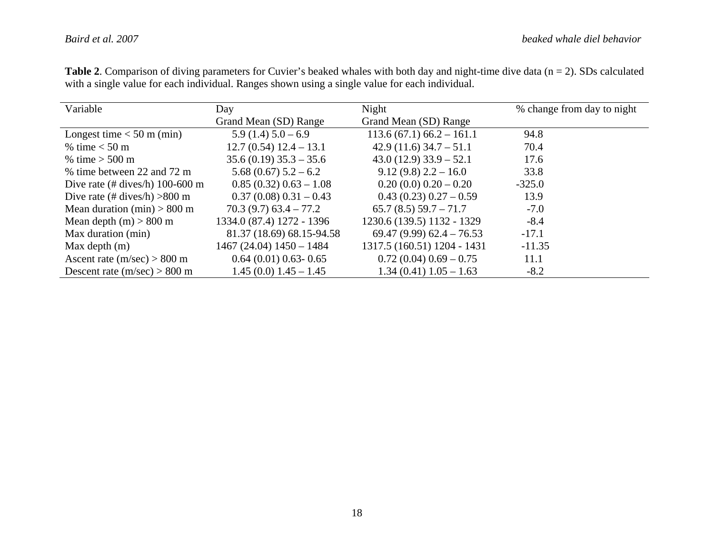| Variable                                        | Day                        | Night                        | % change from day to night |
|-------------------------------------------------|----------------------------|------------------------------|----------------------------|
|                                                 | Grand Mean (SD) Range      | Grand Mean (SD) Range        |                            |
| Longest time $<$ 50 m (min)                     | $5.9(1.4)5.0-6.9$          | $113.6(67.1)66.2 - 161.1$    | 94.8                       |
| % time $<$ 50 m                                 | $12.7(0.54) 12.4 - 13.1$   | $42.9(11.6)$ 34.7 – 51.1     | 70.4                       |
| % time $> 500 \text{ m}$                        | $35.6(0.19)$ $35.3 - 35.6$ | $43.0(12.9)$ $33.9 - 52.1$   | 17.6                       |
| % time between 22 and 72 m                      | $5.68(0.67)$ $5.2-6.2$     | $9.12(9.8) 2.2 - 16.0$       | 33.8                       |
| Dive rate $(\# \text{dives/h})$ 100-600 m       | $0.85(0.32)0.63 - 1.08$    | $0.20(0.0)0.20-0.20$         | $-325.0$                   |
| Dive rate $(\# \text{dives/h}) > 800 \text{ m}$ | $0.37(0.08)0.31-0.43$      | $0.43(0.23)0.27-0.59$        | 13.9                       |
| Mean duration $(min) > 800$ m                   | $70.3(9.7)$ 63.4 – 77.2    | $65.7(8.5)$ 59.7 - 71.7      | $-7.0$                     |
| Mean depth $(m) > 800$ m                        | 1334.0 (87.4) 1272 - 1396  | 1230.6 (139.5) 1132 - 1329   | $-8.4$                     |
| Max duration (min)                              | 81.37 (18.69) 68.15-94.58  | $69.47(9.99)$ $62.4 - 76.53$ | $-17.1$                    |
| Max depth $(m)$                                 | 1467 (24.04) 1450 - 1484   | 1317.5 (160.51) 1204 - 1431  | $-11.35$                   |
| Ascent rate $(m/sec) > 800$ m                   | $0.64(0.01)0.63 - 0.65$    | $0.72(0.04)0.69-0.75$        | 11.1                       |
| Descent rate $(m/sec) > 800$ m                  | $1.45(0.0) 1.45 - 1.45$    | $1.34(0.41)1.05-1.63$        | $-8.2$                     |

**Table 2**. Comparison of diving parameters for Cuvier's beaked whales with both day and night-time dive data (n = 2). SDs calculated with a single value for each individual. Ranges shown using a single value for each individual.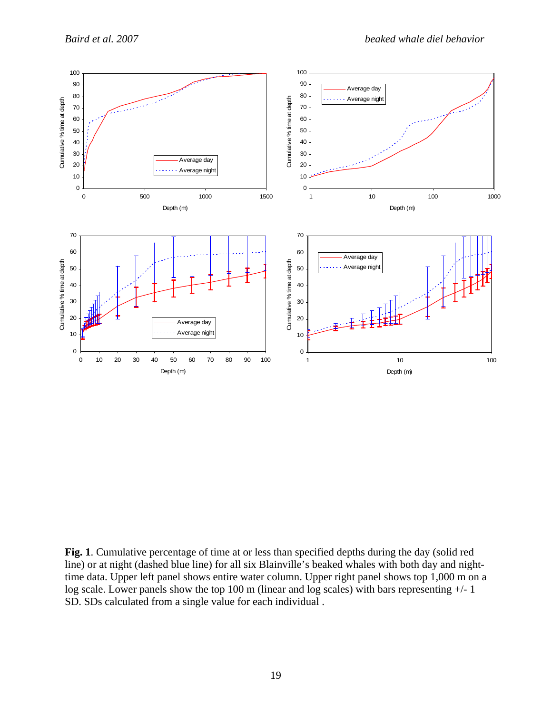

**Fig. 1**. Cumulative percentage of time at or less than specified depths during the day (solid red line) or at night (dashed blue line) for all six Blainville's beaked whales with both day and nighttime data. Upper left panel shows entire water column. Upper right panel shows top 1,000 m on a log scale. Lower panels show the top 100 m (linear and log scales) with bars representing  $+/-1$ SD. SDs calculated from a single value for each individual .